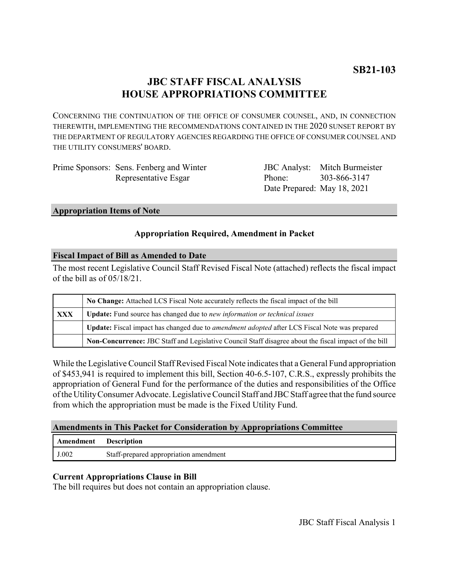# **JBC STAFF FISCAL ANALYSIS HOUSE APPROPRIATIONS COMMITTEE**

CONCERNING THE CONTINUATION OF THE OFFICE OF CONSUMER COUNSEL, AND, IN CONNECTION THEREWITH, IMPLEMENTING THE RECOMMENDATIONS CONTAINED IN THE 2020 SUNSET REPORT BY THE DEPARTMENT OF REGULATORY AGENCIES REGARDING THE OFFICE OF CONSUMER COUNSEL AND THE UTILITY CONSUMERS' BOARD.

| Prime Sponsors: Sens. Fenberg and Winter |
|------------------------------------------|
| Representative Esgar                     |

JBC Analyst: Mitch Burmeister Phone: Date Prepared: May 18, 2021 303-866-3147

#### **Appropriation Items of Note**

### **Appropriation Required, Amendment in Packet**

#### **Fiscal Impact of Bill as Amended to Date**

The most recent Legislative Council Staff Revised Fiscal Note (attached) reflects the fiscal impact of the bill as of 05/18/21.

|            | No Change: Attached LCS Fiscal Note accurately reflects the fiscal impact of the bill                       |  |
|------------|-------------------------------------------------------------------------------------------------------------|--|
| <b>XXX</b> | Update: Fund source has changed due to new information or technical issues                                  |  |
|            | <b>Update:</b> Fiscal impact has changed due to <i>amendment adopted</i> after LCS Fiscal Note was prepared |  |
|            | Non-Concurrence: JBC Staff and Legislative Council Staff disagree about the fiscal impact of the bill       |  |

While the Legislative Council Staff Revised Fiscal Note indicates that a General Fund appropriation of \$453,941 is required to implement this bill, Section 40-6.5-107, C.R.S., expressly prohibits the appropriation of General Fund for the performance of the duties and responsibilities of the Office of the Utility Consumer Advocate. Legislative Council Staff and JBC Staff agree that the fund source from which the appropriation must be made is the Fixed Utility Fund.

### **Amendments in This Packet for Consideration by Appropriations Committee**

| Amendment | <b>Description</b>                     |
|-----------|----------------------------------------|
| J.002     | Staff-prepared appropriation amendment |

### **Current Appropriations Clause in Bill**

The bill requires but does not contain an appropriation clause.